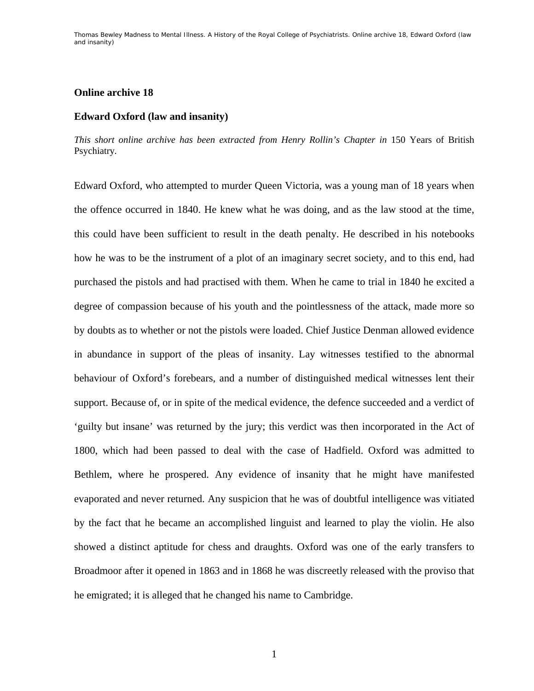## **Online archive 18**

## **Edward Oxford (law and insanity)**

*This short online archive has been extracted from Henry Rollin's Chapter in* 150 Years of British Psychiatry*.* 

Edward Oxford, who attempted to murder Queen Victoria, was a young man of 18 years when the offence occurred in 1840. He knew what he was doing, and as the law stood at the time, this could have been sufficient to result in the death penalty. He described in his notebooks how he was to be the instrument of a plot of an imaginary secret society, and to this end, had purchased the pistols and had practised with them. When he came to trial in 1840 he excited a degree of compassion because of his youth and the pointlessness of the attack, made more so by doubts as to whether or not the pistols were loaded. Chief Justice Denman allowed evidence in abundance in support of the pleas of insanity. Lay witnesses testified to the abnormal behaviour of Oxford's forebears, and a number of distinguished medical witnesses lent their support. Because of, or in spite of the medical evidence, the defence succeeded and a verdict of 'guilty but insane' was returned by the jury; this verdict was then incorporated in the Act of 1800, which had been passed to deal with the case of Hadfield. Oxford was admitted to Bethlem, where he prospered. Any evidence of insanity that he might have manifested evaporated and never returned. Any suspicion that he was of doubtful intelligence was vitiated by the fact that he became an accomplished linguist and learned to play the violin. He also showed a distinct aptitude for chess and draughts. Oxford was one of the early transfers to Broadmoor after it opened in 1863 and in 1868 he was discreetly released with the proviso that he emigrated; it is alleged that he changed his name to Cambridge.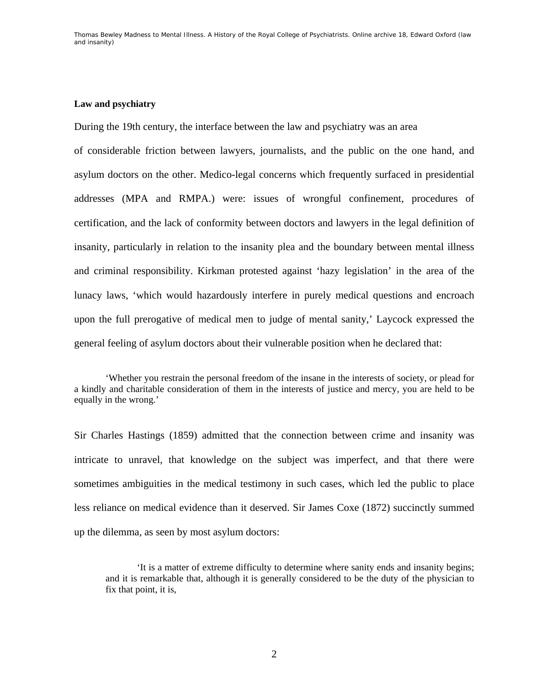## **Law and psychiatry**

During the 19th century, the interface between the law and psychiatry was an area

of considerable friction between lawyers, journalists, and the public on the one hand, and asylum doctors on the other. Medico-legal concerns which frequently surfaced in presidential addresses (MPA and RMPA.) were: issues of wrongful confinement, procedures of certification, and the lack of conformity between doctors and lawyers in the legal definition of insanity, particularly in relation to the insanity plea and the boundary between mental illness and criminal responsibility. Kirkman protested against 'hazy legislation' in the area of the lunacy laws, 'which would hazardously interfere in purely medical questions and encroach upon the full prerogative of medical men to judge of mental sanity,' Laycock expressed the general feeling of asylum doctors about their vulnerable position when he declared that:

 'Whether you restrain the personal freedom of the insane in the interests of society, or plead for a kindly and charitable consideration of them in the interests of justice and mercy, you are held to be equally in the wrong.'

Sir Charles Hastings (1859) admitted that the connection between crime and insanity was intricate to unravel, that knowledge on the subject was imperfect, and that there were sometimes ambiguities in the medical testimony in such cases, which led the public to place less reliance on medical evidence than it deserved. Sir James Coxe (1872) succinctly summed up the dilemma, as seen by most asylum doctors:

'It is a matter of extreme difficulty to determine where sanity ends and insanity begins; and it is remarkable that, although it is generally considered to be the duty of the physician to fix that point, it is,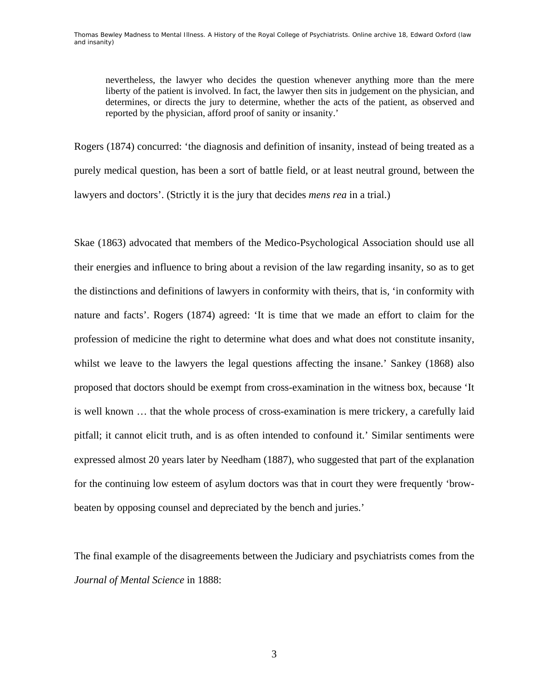nevertheless, the lawyer who decides the question whenever anything more than the mere liberty of the patient is involved. In fact, the lawyer then sits in judgement on the physician, and determines, or directs the jury to determine, whether the acts of the patient, as observed and reported by the physician, afford proof of sanity or insanity.'

Rogers (1874) concurred: 'the diagnosis and definition of insanity, instead of being treated as a purely medical question, has been a sort of battle field, or at least neutral ground, between the lawyers and doctors'. (Strictly it is the jury that decides *mens rea* in a trial.)

Skae (1863) advocated that members of the Medico-Psychological Association should use all their energies and influence to bring about a revision of the law regarding insanity, so as to get the distinctions and definitions of lawyers in conformity with theirs, that is, 'in conformity with nature and facts'. Rogers (1874) agreed: 'It is time that we made an effort to claim for the profession of medicine the right to determine what does and what does not constitute insanity, whilst we leave to the lawyers the legal questions affecting the insane.' Sankey (1868) also proposed that doctors should be exempt from cross-examination in the witness box, because 'It is well known … that the whole process of cross-examination is mere trickery, a carefully laid pitfall; it cannot elicit truth, and is as often intended to confound it.' Similar sentiments were expressed almost 20 years later by Needham (1887), who suggested that part of the explanation for the continuing low esteem of asylum doctors was that in court they were frequently 'browbeaten by opposing counsel and depreciated by the bench and juries.'

The final example of the disagreements between the Judiciary and psychiatrists comes from the *Journal of Mental Science* in 1888: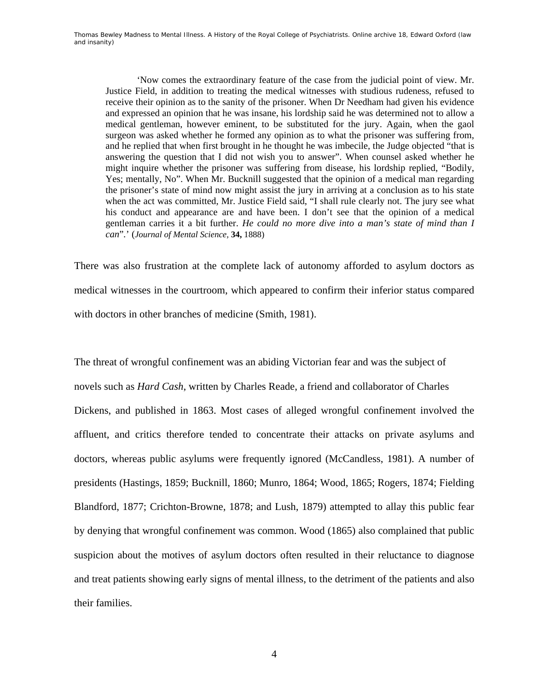'Now comes the extraordinary feature of the case from the judicial point of view. Mr. Justice Field, in addition to treating the medical witnesses with studious rudeness, refused to receive their opinion as to the sanity of the prisoner. When Dr Needham had given his evidence and expressed an opinion that he was insane, his lordship said he was determined not to allow a medical gentleman, however eminent, to be substituted for the jury. Again, when the gaol surgeon was asked whether he formed any opinion as to what the prisoner was suffering from, and he replied that when first brought in he thought he was imbecile, the Judge objected "that is answering the question that I did not wish you to answer". When counsel asked whether he might inquire whether the prisoner was suffering from disease, his lordship replied, "Bodily, Yes; mentally, No". When Mr. Bucknill suggested that the opinion of a medical man regarding the prisoner's state of mind now might assist the jury in arriving at a conclusion as to his state when the act was committed, Mr. Justice Field said, "I shall rule clearly not. The jury see what his conduct and appearance are and have been. I don't see that the opinion of a medical gentleman carries it a bit further. *He could no more dive into a man's state of mind than I can*"*.*' (*Journal of Mental Science,* **34,** 1888)

There was also frustration at the complete lack of autonomy afforded to asylum doctors as medical witnesses in the courtroom, which appeared to confirm their inferior status compared with doctors in other branches of medicine (Smith, 1981).

The threat of wrongful confinement was an abiding Victorian fear and was the subject of novels such as *Hard Cash*, written by Charles Reade, a friend and collaborator of Charles Dickens, and published in 1863. Most cases of alleged wrongful confinement involved the affluent, and critics therefore tended to concentrate their attacks on private asylums and doctors, whereas public asylums were frequently ignored (McCandless, 1981). A number of presidents (Hastings, 1859; Bucknill, 1860; Munro, 1864; Wood, 1865; Rogers, 1874; Fielding Blandford, 1877; Crichton-Browne, 1878; and Lush, 1879) attempted to allay this public fear by denying that wrongful confinement was common. Wood (1865) also complained that public suspicion about the motives of asylum doctors often resulted in their reluctance to diagnose and treat patients showing early signs of mental illness, to the detriment of the patients and also their families.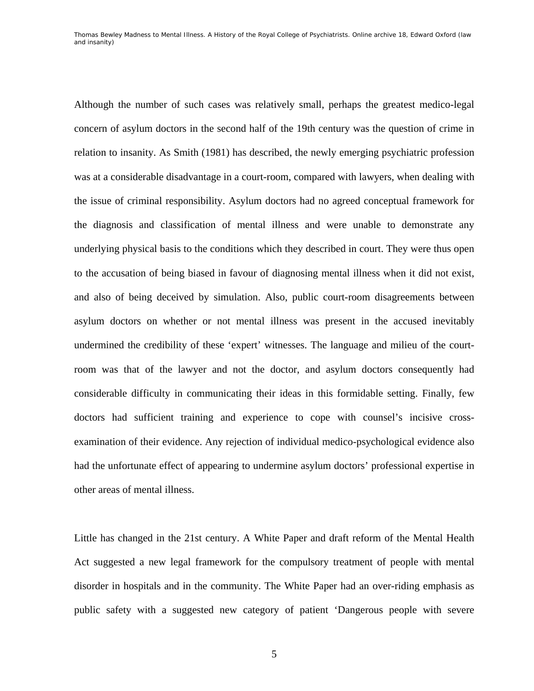Although the number of such cases was relatively small, perhaps the greatest medico-legal concern of asylum doctors in the second half of the 19th century was the question of crime in relation to insanity. As Smith (1981) has described, the newly emerging psychiatric profession was at a considerable disadvantage in a court-room, compared with lawyers, when dealing with the issue of criminal responsibility. Asylum doctors had no agreed conceptual framework for the diagnosis and classification of mental illness and were unable to demonstrate any underlying physical basis to the conditions which they described in court. They were thus open to the accusation of being biased in favour of diagnosing mental illness when it did not exist, and also of being deceived by simulation. Also, public court-room disagreements between asylum doctors on whether or not mental illness was present in the accused inevitably undermined the credibility of these 'expert' witnesses. The language and milieu of the courtroom was that of the lawyer and not the doctor, and asylum doctors consequently had considerable difficulty in communicating their ideas in this formidable setting. Finally, few doctors had sufficient training and experience to cope with counsel's incisive crossexamination of their evidence. Any rejection of individual medico-psychological evidence also had the unfortunate effect of appearing to undermine asylum doctors' professional expertise in other areas of mental illness.

Little has changed in the 21st century. A White Paper and draft reform of the Mental Health Act suggested a new legal framework for the compulsory treatment of people with mental disorder in hospitals and in the community. The White Paper had an over-riding emphasis as public safety with a suggested new category of patient 'Dangerous people with severe